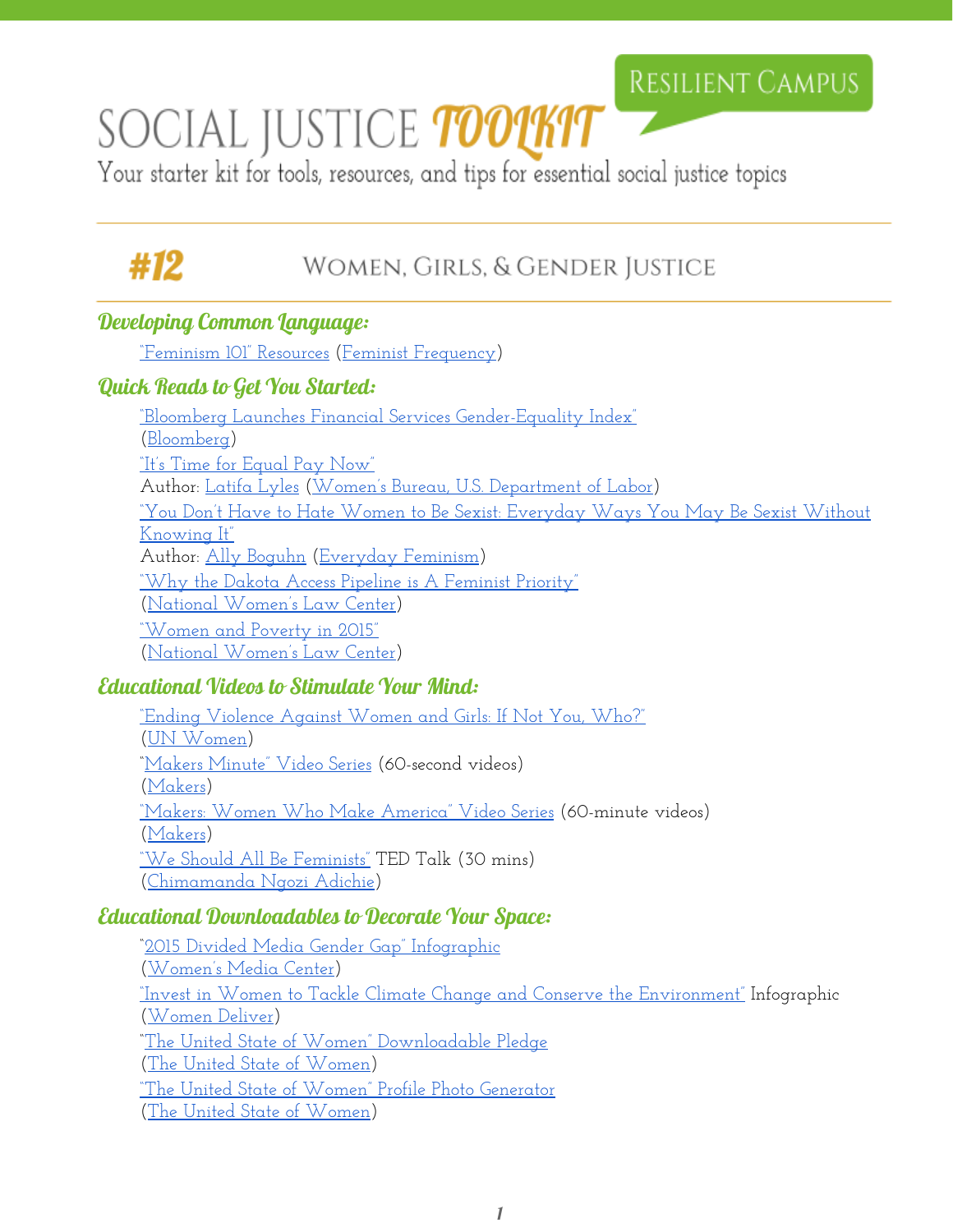## RESILIENT CAMPUS

# SOCIAL JUSTICE TOOUKIT

Your starter kit for tools, resources, and tips for essential social justice topics

# #12

### WOMEN, GIRLS, & GENDER JUSTICE

#### Developing Common Language:

["Feminism 101" Resources](https://feministfrequency.com/resources/feminism-101/) ([Feminist Frequency\)](https://feministfrequency.com/)

#### Quick Reads to Get You Started:

["Bloomberg Launches Financial Services Gender-Equality](https://www.bloomberg.com/company/announcements/bloomberg-launches-financial-services-gender-equality-index/) Index" ([Bloomberg\)](https://www.bloomberg.com/company/) ["It's Time for Equal Pay](https://blog.dol.gov/2015/04/13/its-time-for-equal-pay-now/) Now" Author: [Latifa Lyles](https://blog.dol.gov/author/latifa-lyles/) [\(Women's Bureau, U.S. Department of](https://www.dol.gov/wb/) Labor) ["You Don't Have to Hate](http://everydayfeminism.com/2014/12/everyday-ways-you-may-be-sexist-without-knowing-it/#at_pco=tst-1.0&at_si=57e849ed5e55e9cc&at_ab=per-2&at_pos=1&at_tot=2) Women to Be Sexist: Everyday Ways You May Be Sexist Without [Knowing It"](http://everydayfeminism.com/2014/12/everyday-ways-you-may-be-sexist-without-knowing-it/#at_pco=tst-1.0&at_si=57e849ed5e55e9cc&at_ab=per-2&at_pos=1&at_tot=2) Author: [Ally Boguhn](http://everydayfeminism.com/author/allyb/) [\(Everyday](http://everydayfeminism.com/) Feminism) ["Why the Dakota Access Pipeline](https://nwlc.org/blog/why-the-dakota-access-pipeline-is-a-feminist-priority/) is A Feminist Priority" ([National Women's Law Center\)](https://nwlc.org/) ["Women and Poverty](https://nwlc.org/blog/women-and-poverty-in-2015/) in 2015" ([National Women's Law Center\)](https://nwlc.org/)

#### Educational Videos to Stimulate Your Mind:

["Ending Violence Against Women](https://www.youtube.com/watch?v=W_ZPHPutN-c&feature=youtu.be) and Girls: If Not You, Who?" ([UN Women\)](http://www.unwomen.org/) ["Makers Minute" Video](http://www.makers.com/makers-minute) Series (60-second videos) ([Makers\)](http://www.makers.com/) ["Makers: Women Who](http://www.makers.com/documentary/womenwhomakeamerica) Make America" Video Series (60-minute videos) ([Makers\)](http://www.makers.com/) <u>["We Should All Be Feminists"](https://www.youtube.com/watch?v=hg3umXU_qWc)</u> TED Talk (30 mins) ([Chimamanda Ngozi Adichie\)](http://chimamanda.com/)

#### Educational Downloadables to Decorate Your Space:

["2015 Divided Media](http://www.womensmediacenter.com/pages/2015-divided-media-gender-gap-infographic) Gender Gap" Infographic ([Women's Media Center\)](http://www.womensmediacenter.com/) ["Invest in Women to](http://womendeliver.org/wp-content/uploads/2016/05/Deliver-for-Good-Card-10.pdf) Tackle Climate Change and Conserve the Environment" Infographic ([Women Deliver\)](http://v/) ["The United State of Women"](http://www.theunitedstateofwomen.org/pledge-generator/) Downloadable Pledge ([The United State of](http://www.theunitedstateofwomen.org/) Women) ["The United State of Women"](http://www.theunitedstateofwomen.org/how-to-get-involved/photo-generator/) Profile Photo Generator ([The United State of](http://www.theunitedstateofwomen.org/) Women)